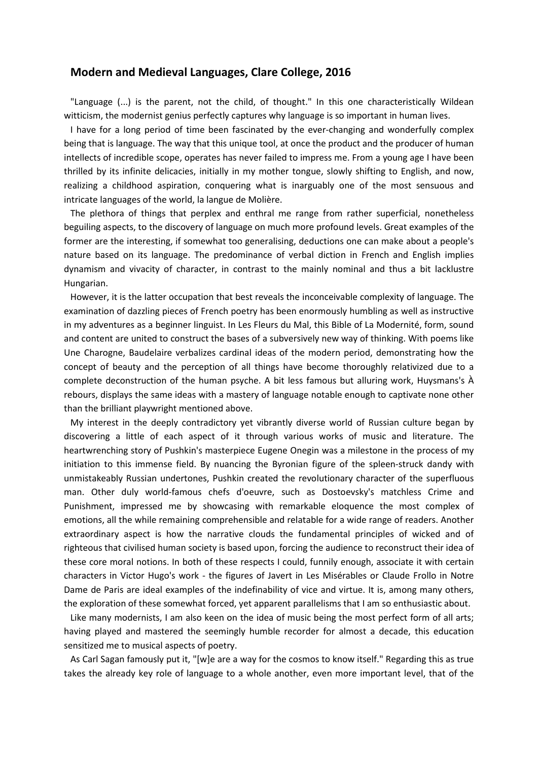## Modern and Medieval Languages, Clare College, 2016

"Language (...) is the parent, not the child, of thought." In this one characteristically Wildean witticism, the modernist genius perfectly captures why language is so important in human lives.

I have for a long period of time been fascinated by the ever-changing and wonderfully complex being that is language. The way that this unique tool, at once the product and the producer of human intellects of incredible scope, operates has never failed to impress me. From a young age I have been thrilled by its infinite delicacies, initially in my mother tongue, slowly shifting to English, and now, realizing a childhood aspiration, conquering what is inarguably one of the most sensuous and intricate languages of the world, la langue de Molière.

The plethora of things that perplex and enthral me range from rather superficial, nonetheless beguiling aspects, to the discovery of language on much more profound levels. Great examples of the former are the interesting, if somewhat too generalising, deductions one can make about a people's nature based on its language. The predominance of verbal diction in French and English implies dynamism and vivacity of character, in contrast to the mainly nominal and thus a bit lacklustre Hungarian.

However, it is the latter occupation that best reveals the inconceivable complexity of language. The examination of dazzling pieces of French poetry has been enormously humbling as well as instructive in my adventures as a beginner linguist. In Les Fleurs du Mal, this Bible of La Modernité, form, sound and content are united to construct the bases of a subversively new way of thinking. With poems like Une Charogne, Baudelaire verbalizes cardinal ideas of the modern period, demonstrating how the concept of beauty and the perception of all things have become thoroughly relativized due to a complete deconstruction of the human psyche. A bit less famous but alluring work, Huysmans's À rebours, displays the same ideas with a mastery of language notable enough to captivate none other than the brilliant playwright mentioned above.

My interest in the deeply contradictory yet vibrantly diverse world of Russian culture began by discovering a little of each aspect of it through various works of music and literature. The heartwrenching story of Pushkin's masterpiece Eugene Onegin was a milestone in the process of my initiation to this immense field. By nuancing the Byronian figure of the spleen-struck dandy with unmistakeably Russian undertones, Pushkin created the revolutionary character of the superfluous man. Other duly world-famous chefs d'oeuvre, such as Dostoevsky's matchless Crime and Punishment, impressed me by showcasing with remarkable eloquence the most complex of emotions, all the while remaining comprehensible and relatable for a wide range of readers. Another extraordinary aspect is how the narrative clouds the fundamental principles of wicked and of righteous that civilised human society is based upon, forcing the audience to reconstruct their idea of these core moral notions. In both of these respects I could, funnily enough, associate it with certain characters in Victor Hugo's work - the figures of Javert in Les Misérables or Claude Frollo in Notre Dame de Paris are ideal examples of the indefinability of vice and virtue. It is, among many others, the exploration of these somewhat forced, yet apparent parallelisms that I am so enthusiastic about.

Like many modernists, I am also keen on the idea of music being the most perfect form of all arts; having played and mastered the seemingly humble recorder for almost a decade, this education sensitized me to musical aspects of poetry.

As Carl Sagan famously put it, "[w]e are a way for the cosmos to know itself." Regarding this as true takes the already key role of language to a whole another, even more important level, that of the